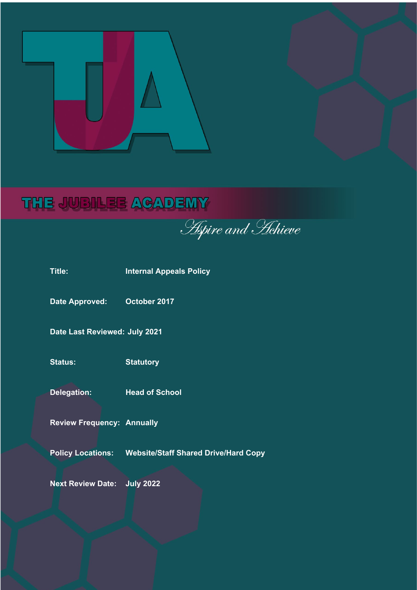

# THE JUBILEE ACADEMY

**Aspire and Hehieve** 

| Title:                             | <b>Internal Appeals Policy</b>                         |
|------------------------------------|--------------------------------------------------------|
| <b>Date Approved:</b>              | October 2017                                           |
| Date Last Reviewed: July 2021      |                                                        |
| <b>Status:</b>                     | <b>Statutory</b>                                       |
| <b>Delegation:</b>                 | <b>Head of School</b>                                  |
| <b>Review Frequency: Annually</b>  |                                                        |
|                                    | Policy Locations: Website/Staff Shared Drive/Hard Copy |
| <b>Next Review Date: July 2022</b> |                                                        |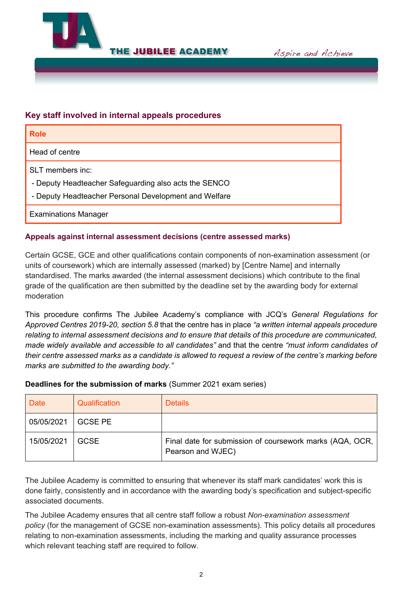

**THE JUBILEE ACADEMY** 

Aspire and Achieve

## **Key staff involved in internal appeals procedures**

| <b>Role</b>                                                                                                                        |
|------------------------------------------------------------------------------------------------------------------------------------|
| Head of centre                                                                                                                     |
| SLT members inc:<br>- Deputy Headteacher Safeguarding also acts the SENCO<br>- Deputy Headteacher Personal Development and Welfare |
| <b>Examinations Manager</b>                                                                                                        |

## **Appeals against internal assessment decisions (centre assessed marks)**

Certain GCSE, GCE and other qualifications contain components of non-examination assessment (or units of coursework) which are internally assessed (marked) by [Centre Name] and internally standardised. The marks awarded (the internal assessment decisions) which contribute to the final grade of the qualification are then submitted by the deadline set by the awarding body for external moderation

This procedure confirms The Jubilee Academy's compliance with JCQ's *General Regulations for Approved Centres 2019-20, section 5.8* that the centre has in place *"a written internal appeals procedure relating to internal assessment decisions and to ensure that details of this procedure are communicated, made widely available and accessible to all candidates"* and that the centre *"must inform candidates of their centre assessed marks as a candidate is allowed to request a review of the centre's marking before marks are submitted to the awarding body."*

#### **Deadlines for the submission of marks** (Summer 2021 exam series)

| <b>Date</b> | Qualification  | <b>Details</b>                                                                  |
|-------------|----------------|---------------------------------------------------------------------------------|
| 05/05/2021  | <b>GCSE PE</b> |                                                                                 |
| 15/05/2021  | <b>GCSE</b>    | Final date for submission of coursework marks (AQA, OCR,  <br>Pearson and WJEC) |

The Jubilee Academy is committed to ensuring that whenever its staff mark candidates' work this is done fairly, consistently and in accordance with the awarding body's specification and subject-specific associated documents.

The Jubilee Academy ensures that all centre staff follow a robust *Non-examination assessment policy* (for the management of GCSE non-examination assessments). This policy details all procedures relating to non-examination assessments, including the marking and quality assurance processes which relevant teaching staff are required to follow.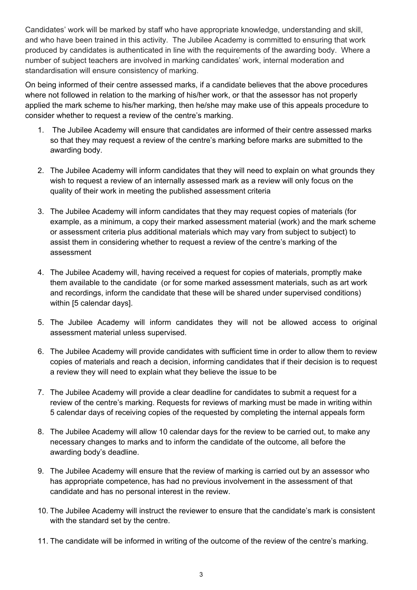Candidates' work will be marked by staff who have appropriate knowledge, understanding and skill, and who have been trained in this activity. The Jubilee Academy is committed to ensuring that work produced by candidates is authenticated in line with the requirements of the awarding body. Where a number of subject teachers are involved in marking candidates' work, internal moderation and standardisation will ensure consistency of marking.

On being informed of their centre assessed marks, if a candidate believes that the above procedures where not followed in relation to the marking of his/her work, or that the assessor has not properly applied the mark scheme to his/her marking, then he/she may make use of this appeals procedure to consider whether to request a review of the centre's marking.

- 1. The Jubilee Academy will ensure that candidates are informed of their centre assessed marks so that they may request a review of the centre's marking before marks are submitted to the awarding body.
- 2. The Jubilee Academy will inform candidates that they will need to explain on what grounds they wish to request a review of an internally assessed mark as a review will only focus on the quality of their work in meeting the published assessment criteria
- 3. The Jubilee Academy will inform candidates that they may request copies of materials (for example, as a minimum, a copy their marked assessment material (work) and the mark scheme or assessment criteria plus additional materials which may vary from subject to subject) to assist them in considering whether to request a review of the centre's marking of the assessment
- 4. The Jubilee Academy will, having received a request for copies of materials, promptly make them available to the candidate (or for some marked assessment materials, such as art work and recordings, inform the candidate that these will be shared under supervised conditions) within [5 calendar days].
- 5. The Jubilee Academy will inform candidates they will not be allowed access to original assessment material unless supervised.
- 6. The Jubilee Academy will provide candidates with sufficient time in order to allow them to review copies of materials and reach a decision, informing candidates that if their decision is to request a review they will need to explain what they believe the issue to be
- 7. The Jubilee Academy will provide a clear deadline for candidates to submit a request for a review of the centre's marking. Requests for reviews of marking must be made in writing within 5 calendar days of receiving copies of the requested by completing the internal appeals form
- 8. The Jubilee Academy will allow 10 calendar days for the review to be carried out, to make any necessary changes to marks and to inform the candidate of the outcome, all before the awarding body's deadline.
- 9. The Jubilee Academy will ensure that the review of marking is carried out by an assessor who has appropriate competence, has had no previous involvement in the assessment of that candidate and has no personal interest in the review.
- 10. The Jubilee Academy will instruct the reviewer to ensure that the candidate's mark is consistent with the standard set by the centre.
- 11. The candidate will be informed in writing of the outcome of the review of the centre's marking.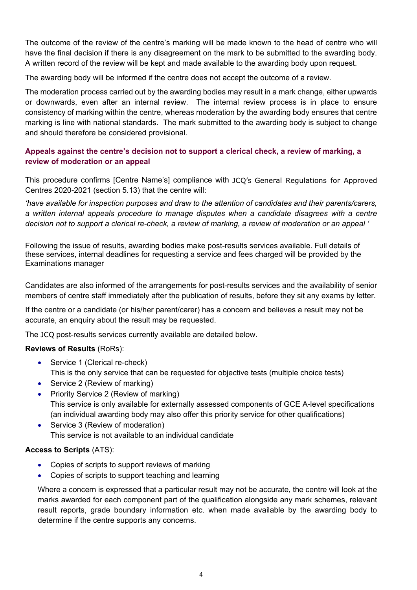The outcome of the review of the centre's marking will be made known to the head of centre who will have the final decision if there is any disagreement on the mark to be submitted to the awarding body. A written record of the review will be kept and made available to the awarding body upon request.

The awarding body will be informed if the centre does not accept the outcome of a review.

The moderation process carried out by the awarding bodies may result in a mark change, either upwards or downwards, even after an internal review. The internal review process is in place to ensure consistency of marking within the centre, whereas moderation by the awarding body ensures that centre marking is line with national standards. The mark submitted to the awarding body is subject to change and should therefore be considered provisional.

# **Appeals against the centre's decision not to support a clerical check, a review of marking, a review of moderation or an appeal**

This procedure confirms [Centre Name's] compliance with JCQ's General Regulations for Approved Centres 2020-2021 (section 5.13) that the centre will:

*'have available for inspection purposes and draw to the attention of candidates and their parents/carers, a written internal appeals procedure to manage disputes when a candidate disagrees with a centre decision not to support a clerical re-check, a review of marking, a review of moderation or an appeal '*

Following the issue of results, awarding bodies make post-results services available. Full details of these services, internal deadlines for requesting a service and fees charged will be provided by the Examinations manager

Candidates are also informed of the arrangements for post-results services and the availability of senior members of centre staff immediately after the publication of results, before they sit any exams by letter.

If the centre or a candidate (or his/her parent/carer) has a concern and believes a result may not be accurate, an enquiry about the result may be requested.

The JCQ post-results services currently available are detailed below.

#### **Reviews of Results** (RoRs):

- Service 1 (Clerical re-check) This is the only service that can be requested for objective tests (multiple choice tests)
- Service 2 (Review of marking)
- Priority Service 2 (Review of marking) This service is only available for externally assessed components of GCE A-level specifications (an individual awarding body may also offer this priority service for other qualifications)
- Service 3 (Review of moderation) This service is not available to an individual candidate

#### **Access to Scripts** (ATS):

- Copies of scripts to support reviews of marking
- Copies of scripts to support teaching and learning

Where a concern is expressed that a particular result may not be accurate, the centre will look at the marks awarded for each component part of the qualification alongside any mark schemes, relevant result reports, grade boundary information etc. when made available by the awarding body to determine if the centre supports any concerns.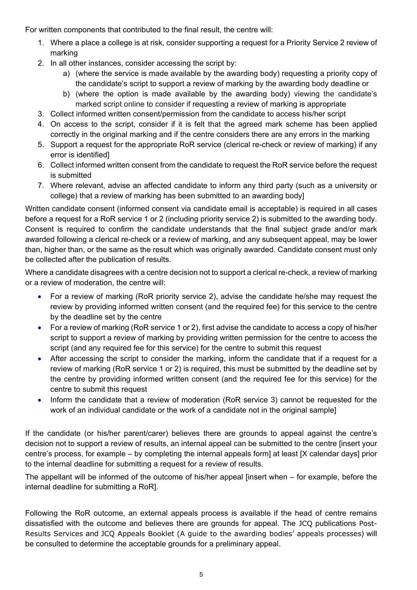For written components that contributed to the final result, the centre will:

- 1. Where a place a college is at risk, consider supporting a request for a Priority Service 2 review of marking
- 2. In all other instances, consider accessing the script by:
	- a) (where the service is made available by the awarding body) requesting a priority copy of the candidate's script to support a review of marking by the awarding body deadline or
	- b) (where the option is made available by the awarding body) viewing the candidate's marked script online to consider if requesting a review of marking is appropriate
- 3. Collect informed written consent/permission from the candidate to access his/her script
- 4. On access to the script, consider if it is felt that the agreed mark scheme has been applied correctly in the original marking and if the centre considers there are any errors in the marking
- 5. Support a request for the appropriate RoR service (clerical re-check or review of marking) if any error is identified]
- 6. Collect informed written consent from the candidate to request the RoR service before the request is submitted
- 7. Where relevant, advise an affected candidate to inform any third party (such as a university or college) that a review of marking has been submitted to an awarding body]

Written candidate consent (informed consent via candidate email is acceptable) is required in all cases before a request for a RoR service 1 or 2 (including priority service 2) is submitted to the awarding body. Consent is required to confirm the candidate understands that the final subject grade and/or mark awarded following a clerical re-check or a review of marking, and any subsequent appeal, may be lower than, higher than, or the same as the result which was originally awarded. Candidate consent must only be collected after the publication of results.

Where a candidate disagrees with a centre decision not to support a clerical re-check, a review of marking or a review of moderation, the centre will:

- For a review of marking (RoR priority service 2), advise the candidate he/she may request the review by providing informed written consent (and the required fee) for this service to the centre by the deadline set by the centre
- For a review of marking (RoR service 1 or 2), first advise the candidate to access a copy of his/her script to support a review of marking by providing written permission for the centre to access the script (and any required fee for this service) for the centre to submit this request
- After accessing the script to consider the marking, inform the candidate that if a request for a review of marking (RoR service 1 or 2) is required, this must be submitted by the deadline set by the centre by providing informed written consent (and the required fee for this service) for the centre to submit this request
- Inform the candidate that a review of moderation (RoR service 3) cannot be requested for the work of an individual candidate or the work of a candidate not in the original sample]

If the candidate (or his/her parent/carer) believes there are grounds to appeal against the centre's decision not to support a review of results, an internal appeal can be submitted to the centre [insert your centre's process, for example – by completing the internal appeals form] at least [X calendar days] prior to the internal deadline for submitting a request for a review of results.

The appellant will be informed of the outcome of his/her appeal [insert when – for example, before the internal deadline for submitting a RoR].

Following the RoR outcome, an external appeals process is available if the head of centre remains dissatisfied with the outcome and believes there are grounds for appeal. The JCQ publications Post-Results Services and JCQ Appeals Booklet (A guide to the awarding bodies' appeals processes) will be consulted to determine the acceptable grounds for a preliminary appeal.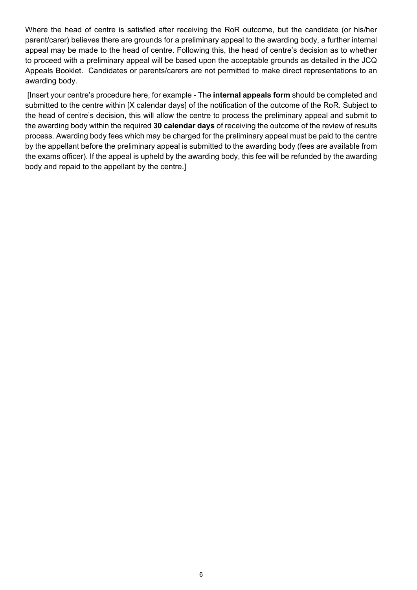Where the head of centre is satisfied after receiving the RoR outcome, but the candidate (or his/her parent/carer) believes there are grounds for a preliminary appeal to the awarding body, a further internal appeal may be made to the head of centre. Following this, the head of centre's decision as to whether to proceed with a preliminary appeal will be based upon the acceptable grounds as detailed in the JCQ Appeals Booklet. Candidates or parents/carers are not permitted to make direct representations to an awarding body.

[Insert your centre's procedure here, for example - The **internal appeals form** should be completed and submitted to the centre within [X calendar days] of the notification of the outcome of the RoR. Subject to the head of centre's decision, this will allow the centre to process the preliminary appeal and submit to the awarding body within the required **30 calendar days** of receiving the outcome of the review of results process. Awarding body fees which may be charged for the preliminary appeal must be paid to the centre by the appellant before the preliminary appeal is submitted to the awarding body (fees are available from the exams officer). If the appeal is upheld by the awarding body, this fee will be refunded by the awarding body and repaid to the appellant by the centre.]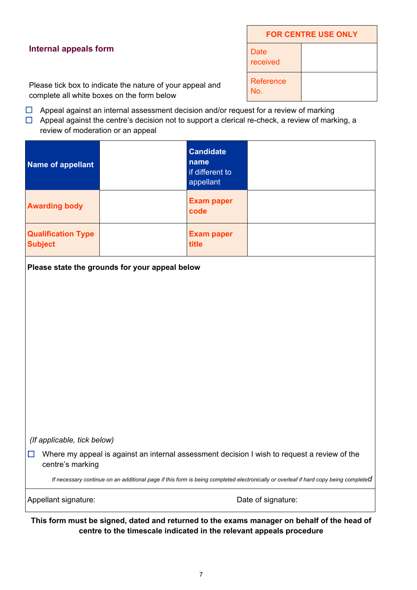# **Internal appeals form**

| <b>FOR CENTRE USE ONLY</b> |  |  |
|----------------------------|--|--|
| Date<br>received           |  |  |
| <b>Reference</b><br>No.    |  |  |

Please tick box to indicate the nature of your appeal and complete all white boxes on the form below

- $\Box$  Appeal against an internal assessment decision and/or request for a review of marking
- $\Box$  Appeal against the centre's decision not to support a clerical re-check, a review of marking, a review of moderation or an appeal

| <b>Name of appellant</b>                                                                                                            |                                                | <b>Candidate</b><br>name<br>if different to<br>appellant |                    |  |  |
|-------------------------------------------------------------------------------------------------------------------------------------|------------------------------------------------|----------------------------------------------------------|--------------------|--|--|
| <b>Awarding body</b>                                                                                                                |                                                | <b>Exam paper</b><br>code                                |                    |  |  |
| <b>Qualification Type</b><br><b>Subject</b>                                                                                         |                                                | <b>Exam paper</b><br>title                               |                    |  |  |
|                                                                                                                                     | Please state the grounds for your appeal below |                                                          |                    |  |  |
|                                                                                                                                     |                                                |                                                          |                    |  |  |
|                                                                                                                                     |                                                |                                                          |                    |  |  |
|                                                                                                                                     |                                                |                                                          |                    |  |  |
|                                                                                                                                     |                                                |                                                          |                    |  |  |
|                                                                                                                                     |                                                |                                                          |                    |  |  |
|                                                                                                                                     |                                                |                                                          |                    |  |  |
| (If applicable, tick below)                                                                                                         |                                                |                                                          |                    |  |  |
| Where my appeal is against an internal assessment decision I wish to request a review of the<br>H<br>centre's marking               |                                                |                                                          |                    |  |  |
| If necessary continue on an additional page if this form is being completed electronically or overleaf if hard copy being completed |                                                |                                                          |                    |  |  |
| Appellant signature:                                                                                                                |                                                |                                                          | Date of signature: |  |  |
| This form must be signed, dated and returned to the exams manager on behalf of the head of                                          |                                                |                                                          |                    |  |  |

**centre to the timescale indicated in the relevant appeals procedure**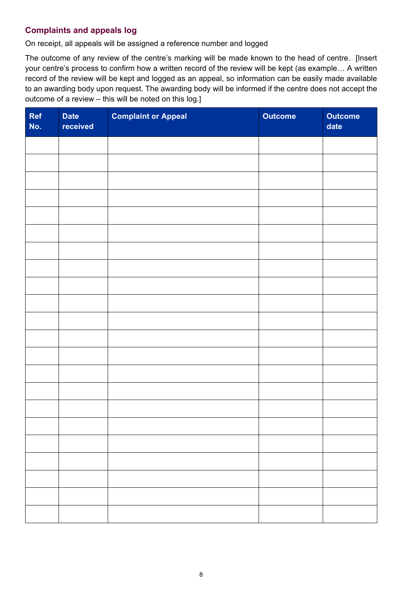# **Complaints and appeals log**

On receipt, all appeals will be assigned a reference number and logged

The outcome of any review of the centre's marking will be made known to the head of centre. [Insert your centre's process to confirm how a written record of the review will be kept (as example… A written record of the review will be kept and logged as an appeal, so information can be easily made available to an awarding body upon request. The awarding body will be informed if the centre does not accept the outcome of a review – this will be noted on this log.]

| Ref<br>No. | <b>Date</b><br>received | <b>Complaint or Appeal</b> | <b>Outcome</b> | <b>Outcome</b><br>date |
|------------|-------------------------|----------------------------|----------------|------------------------|
|            |                         |                            |                |                        |
|            |                         |                            |                |                        |
|            |                         |                            |                |                        |
|            |                         |                            |                |                        |
|            |                         |                            |                |                        |
|            |                         |                            |                |                        |
|            |                         |                            |                |                        |
|            |                         |                            |                |                        |
|            |                         |                            |                |                        |
|            |                         |                            |                |                        |
|            |                         |                            |                |                        |
|            |                         |                            |                |                        |
|            |                         |                            |                |                        |
|            |                         |                            |                |                        |
|            |                         |                            |                |                        |
|            |                         |                            |                |                        |
|            |                         |                            |                |                        |
|            |                         |                            |                |                        |
|            |                         |                            |                |                        |
|            |                         |                            |                |                        |
|            |                         |                            |                |                        |
|            |                         |                            |                |                        |